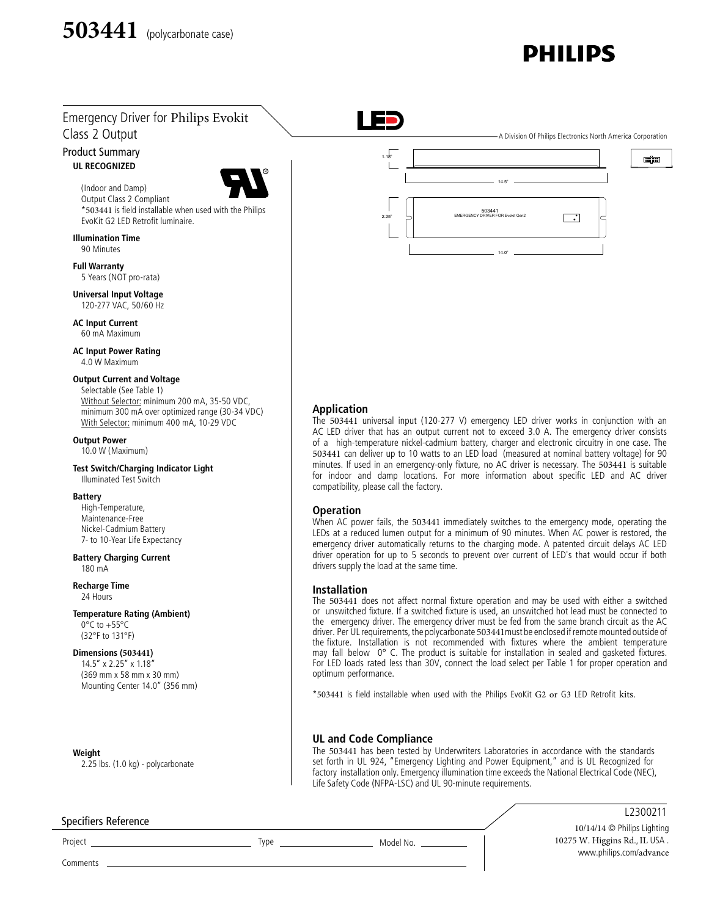# **DHII IDS**

# Emergency Driver for Philips Evokit Class 2 Output

#### **UL RECOGNIZED** Product Summary



(Indoor and Damp) Output Class 2 Compliant \*503441 is field installable when used with the Philips EvoKit G2 LED Retrofit luminaire.

**Illumination Time** 90 Minutes

**Full Warranty** 5 Years (NOT pro-rata)

**Universal Input Voltage** 120-277 VAC, 50/60 Hz

**AC Input Current** 60 mA Maximum

**AC Input Power Rating** 4.0 W Maximum

#### **Output Current and Voltage**

Selectable (See Table 1) Without Selector: minimum 200 mA, 35-50 VDC, minimum 300 mA over optimized range (30-34 VDC) With Selector: minimum 400 mA, 10-29 VDC

### **Output Power**

10.0 W (Maximum)

#### **Test Switch/Charging Indicator Light** Illuminated Test Switch

#### **Battery**

High-Temperature, Maintenance-Free Nickel-Cadmium Battery 7- to 10-Year Life Expectancy

#### **Battery Charging Current** 180 mA

**Recharge Time** 24 Hours

#### **Temperature Rating (Ambient)**

0°C to +55°C (32°F to 131°F)

#### **Dimensions (503441)**

14.5" x 2.25" x 1.18" (369 mm x 58 mm x 30 mm) Mounting Center 14.0" (356 mm)

**Weight** 2.25 lbs. (1.0 kg) - polycarbonate

#### Specifiers Reference

Project Type Model No.

 $-$  A Division Of Philips Electronics North America Corporation

88 88



#### **Application**

m.

The 503441 universal input (120-277 V) emergency LED driver works in conjunction with an AC LED driver that has an output current not to exceed 3.0 A. The emergency driver consists of a high-temperature nickel-cadmium battery, charger and electronic circuitry in one case. The 503441 can deliver up to 10 watts to an LED load (measured at nominal battery voltage) for 90 minutes. If used in an emergency-only fixture, no AC driver is necessary. The 503441 is suitable for indoor and damp locations. For more information about specific LED and AC driver compatibility, please call the factory.

#### **Operation**

When AC power fails, the 503441 immediately switches to the emergency mode, operating the LEDs at a reduced lumen output for a minimum of 90 minutes. When AC power is restored, the emergency driver automatically returns to the charging mode. A patented circuit delays AC LED driver operation for up to 5 seconds to prevent over current of LED's that would occur if both drivers supply the load at the same time.

#### **Installation**

The 503441 does not affect normal fixture operation and may be used with either a switched or unswitched fixture. If a switched fixture is used, an unswitched hot lead must be connected to the emergency driver. The emergency driver must be fed from the same branch circuit as the AC driver. Per UL requirements, the polycarbonate 503441must be enclosed if remote mounted outside of the fixture. Installation is not recommended with fixtures where the ambient temperature may fall below 0° C. The product is suitable for installation in sealed and gasketed fixtures. For LED loads rated less than 30V, connect the load select per Table 1 for proper operation and optimum performance.

\*503441 is field installable when used with the Philips EvoKit G2 or G3 LED Retrofit kits.

#### **UL and Code Compliance**

The 503441 has been tested by Underwriters Laboratories in accordance with the standards set forth in UL 924, "Emergency Lighting and Power Equipment," and is UL Recognized for factory installation only. Emergency illumination time exceeds the National Electrical Code (NEC), Life Safety Code (NFPA-LSC) and UL 90-minute requirements.

# L2300211

10/14/14 © Philips Lighting 10275 W. Higgins Rd., IL USA . www.philips.com/advance

Comments